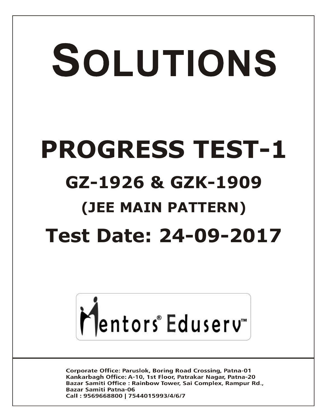# SOLUTIONS **PROGRESS TEST-1 GZ-1926 & GZK-1909 (JEE MAIN PATTERN) Test Date: 24-09-2017**



**Corporate Office: Paruslok, Boring Road Crossing, Patna-01** Kankarbagh Office: A-10, 1st Floor, Patrakar Nagar, Patna-20 Bazar Samiti Office: Rainbow Tower, Sai Complex, Rampur Rd., **Bazar Samiti Patna-06** Call: 9569668800 | 7544015993/4/6/7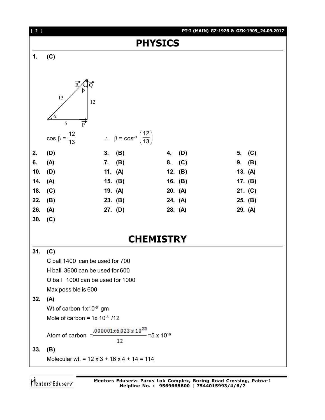

Mentors Eduserv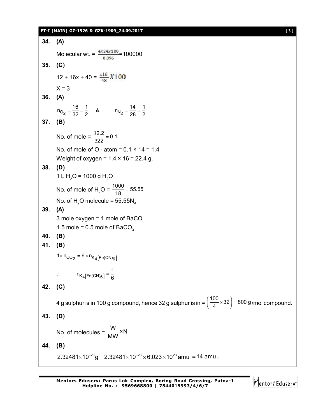### **PT-I (MAIN) GZ-1926 & GZK-1909\_24.09.2017** [ **3** ]

```
34. (A)
        Molecular wt. = \frac{4x24x100}{0.096} = 100000
35. (C)
        12 + 16x + 40 = \frac{x16}{48}X100X = 336. (A)
         n_{O_2} = \frac{16}{32} = \frac{1}{2} & n_{N_2} = \frac{14}{28} = \frac{1}{2}37. (B)
        No. of mole = \frac{32.2}{322} = 0.1
                             \frac{32.2}{200} =
        No. of mole of O - atom = 0.1 \times 14 = 1.4Weight of oxygen = 1.4 \times 16 = 22.4 g.
38. (D)
        1 L H<sub>2</sub>O = 1000 g H<sub>2</sub>O
        No. of mole of H<sub>2</sub>O = \frac{1000}{18} = 55.55
        No. of H<sub>2</sub>O molecule = 55.55N<sub>A</sub>39. (A)
        3 mole oxygen = 1 mole of BaCO<sub>3</sub>
        1.5 mole = 0.5 mole of BaCO<sub>3</sub>
40. (B)
41. (B)
         1 \times n_{CO_2} = 6 \times n_{K_4[Fe(CN)_6]}\mathsf{K}_4[\mathsf{Fe}(\mathsf{CN})_6]∴ n_{K_4[Fe(CN)_6]} = \frac{1}{6}42. (C)
        4 g sulphur is in 100 g compound, hence 32 g sulphur is in = \left(\frac{100}{4}\times32\right) = 800 g
                                                                                             \left(\frac{100}{4}\times32\right) = 800 g/mol compound.
43. (D)
        No. of molecules = \frac{W}{M_M} \times NMW
44. (B)
        2.32481 \times 10^{-23}g = 2.32481 \times 10^{-23} \times 6.023 \times 10^{23} amu = 14 amu .
```
Mentors Eduserv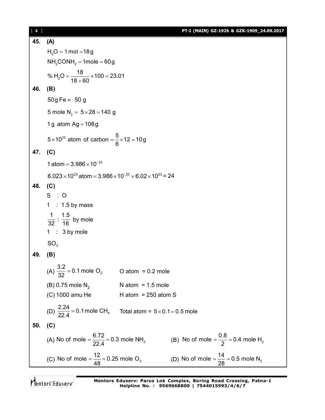[ **4** ] **PT-I (MAIN) GZ-1926 & GZK-1909\_24.09.2017 45. (A)**  $H<sub>2</sub>O = 1$  mol  $=$  18g  $NH<sub>2</sub>$ CONH<sub>2</sub> = 1mole = 60g % H<sub>2</sub>O =  $\frac{18}{18 \cdot 60}$  × 100 = 23.01  $18 + 60$  $=\frac{18}{100} \times 100 = 2$  $\ddot{}$ **46. (B)**  $50g$  Fe = 50 g 5 mole  $N_2 = 5 \times 28 = 140$  g 1 g atom  $Ag = 108g$  $5 \times 10^{23}$  atom of carbon =  $\frac{5}{2} \times 12 = 10$  g 6  $\times$ 10<sup>23</sup> atom of carbon =  $\frac{8}{2}$  × 12 = 1 **47. (C)** 1 atom =  $3.986 \times 10^{-23}$  $6.023 \times 10^{23}$  atom =  $3.986 \times 10^{-23} \times 6.02 \times 10^{23}$  = 24 **48. (C)**  $S : O$  $1 : 1.5$  by mass 1  $\frac{1}{32}$  : 1.5  $\frac{1}{16}$  by mole 1 : 3 by mole SO<sub>2</sub> **49. (B)** (A)  $\frac{3.2}{22}$  = 0.1 mole O<sub>2</sub>  $\frac{32}{32}$  = 0.1 mole O<sub>2</sub> O atom = 0.2 mole (B) 0.75 mole  $N_2$  N atom = 1.5 mole  $(C)$  1000 amu He H atom = 250 atom S (D)  $\frac{2.24}{22.4}$  = 0.1 mole CH<sub>4</sub>  $\frac{2.24}{22.4}$  = 0.1 mole CH<sub>4</sub> Total atom =  $5 \times 0.1$  = 0.5 mole **50. (C)** (A) No of mole =  $\frac{6.72}{22.4}$  = 0.3 mole NH<sub>3</sub>  $=\frac{6.72}{22.4}$  = 0.3 mole NH<sub>3</sub> (B) No of mole =  $\frac{0.8}{2}$  = 0.4 mole H<sub>2</sub> 2  $=\frac{0.0}{0.0}$  = 0 (C) No of mole =  $\frac{12}{18}$  = 0.25 mole O<sub>3</sub>  $=\frac{12}{48}$  = 0.25 mole O<sub>3</sub> (D) No of mole =  $\frac{14}{28}$  = 0.5 mole N<sub>2</sub> 28  $=\frac{1}{22}$  = 0

Mentors<sup>®</sup> Eduserv<sup>®</sup>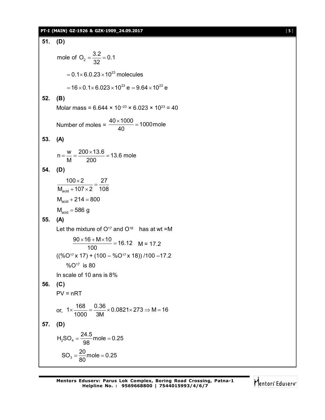# **PT-I (MAIN) GZ-1926 & GZK-1909\_24.09.2017** [ **5** ]

51. **(D)**  
\nmole of O<sub>2</sub> = 
$$
\frac{3.2}{32} = 0.1
$$
  
\n= 0.1×6.0.23×10<sup>23</sup> molecules  
\n= 16×0.1×6.023×10<sup>23</sup> e = 9.64×10<sup>23</sup> e  
\n52. **(B)**  
\nMolar mass = 6.644 × 10<sup>-23</sup> × 6.023 × 10<sup>23</sup> = 40  
\nNumber of moles =  $\frac{40 \times 1000}{40} = 1000$  mole  
\n53. **(A)**  
\n
$$
n = \frac{w}{M} = \frac{200 \times 13.6}{200} = 13.6
$$
 mole  
\n54. **(D)**  
\n
$$
\frac{100 \times 2}{M_{\text{acid}} + 107 \times 2} = \frac{27}{108}
$$
  
\n
$$
M_{\text{acid}} + 214 = 800
$$
  
\n
$$
M_{\text{acid}} = 586
$$
 g  
\n55. **(A)**  
\nLet the mixture of O<sup>17</sup> and O<sup>18</sup> has at wt = M  
\n
$$
\frac{90 \times 16 + M \times 10}{100} = 16.12
$$
 M = 17.2  
\n
$$
((%O17 × 17) + (100 - %O17 × 18)) / 100 - 17.2
$$
  
\n
$$
%O17 is 80
$$
  
\nIn scale of 10 ans is 8%  
\n56. **(C)**  
\nPV = nRT  
\nor,  $1 \times \frac{168}{1000} = \frac{0.36}{3M} \times 0.0821 \times 273 \Rightarrow M = 16$   
\n57. **(D)**  
\n $H_2$ SO<sub>4</sub> =  $\frac{24.5}{98}$  mole = 0.25  
\nSO<sub>3</sub> =  $\frac{20}{80}$  mole = 0.25

Mentors<sup>e</sup> Eduserv<sup>-</sup>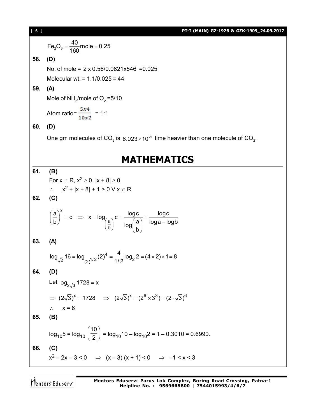**16 1**  
\n**17-1 (MANN) 62-1926 & 62K-1909\_2-84.09.2017**  
\n**18. (D)**  
\n**19. (a)** Two of mole = 2 x 0.56/0.0821x546 =0.025  
\nMolecular wt. = 1.1/0.025 = 44  
\n**19. (A)**  
\nMole of NH<sub>3</sub>/mode of O<sub>2</sub> =5/10  
\nAtomic 
$$
\frac{5x4}{10x^2}
$$
 = 1:1  
\n**19. (B)**  
\nOne gm molecules of CO<sub>2</sub> is 6.023×10<sup>23</sup> time heavier than one molecule of CO<sub>2</sub>.  
\n**10. (B)**  
\nFor x ∈ R, x<sup>2</sup> ≥ 0, |x + 8| ≥ 0  
\n∴ x<sup>2</sup> + |x + 8| + 1 > 04 x ∈ R  
\n**10. (C)**  
\n**11. (D)**  
\nFor x ∈ R, x<sup>2</sup> ≥ 0, |x + 8| ≥ 0  
\n∴ x<sup>2</sup> + |x + 8| + 1 > 04 x ∈ R  
\n**11. (D)**  
\n**12. (C)**  
\n**13. (A)**  
\n
$$
\log_{\sqrt{2}} 16 - \log_{(2)^{1/2}} (2)^4 = \frac{4}{1/2} \log_2 2 = (4 \times 2) \times 1 = 8
$$
  
\n**14. (D)**  
\nLet  $\log_{2\sqrt{3}} 1728 = x$   
\n $\Rightarrow (2\sqrt{3})^x = 1728 \Rightarrow (2\sqrt{3})^x = (2^6 \times 3^3) = (2 \cdot \sqrt{3})^6$   
\n $\therefore x = 6$   
\n**15. (B)**  
\n
$$
\log_{10} 5 = \log_{10} (\frac{10}{2}) = \log_{10} 10 - \log_{10} 2 = 1 - 0.3010 = 0.6990.
$$
  
\n**16. (C)**  
\n $x^2 - 2x - 3 < 0 \Rightarrow (x - 3)$ 

Mentors<sup>®</sup> Eduserv<sup>®</sup>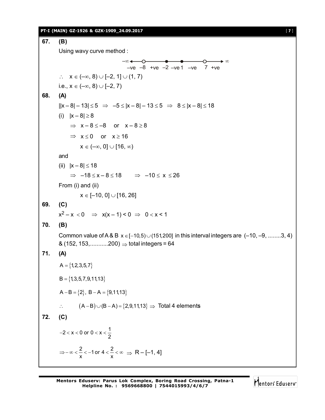## **PT-I (MAIN) GZ-1926 & GZK-1909\_24.09.2017** [ **7** ]

```
67. (B)
        Using wavy curve method :
                                          -ve -8 +ve -2 -ve -ve -ve 7 +ve–∞<del>← – 0 – • • – – 0 – →</del> ∞
        \therefore X \in (-\infty, 8) \cup [-2, 1] \cup (1, 7)i.e., x \in (-\infty, 8) \cup [-2, 7)68. (A)
        ||x-8|-13| \le 5 \Rightarrow -5 \le |x-8|-13 \le 5 \Rightarrow 8 \le |x-8| \le 18(i) |x - 8| \ge 8\Rightarrow x-8 \le -8 or x-8 \ge 8
              \Rightarrow x \le 0 or x \ge 16
                  x \in (-\infty, 0] \cup [16, \infty)and
        (ii) |x - 8| \le 18\Rightarrow -18 \le x - 8 \le 18 \Rightarrow -10 \le x \le 26From (i) and (ii)
                  x \in [-10, 0] \cup [16, 26]69. (C)
        x^2 - x < 0 \Rightarrow x(x-1) < 0 \Rightarrow 0 < x < 170. (B)
        Common value of A & B x \in [-10,5) \cup (151,200] in this interval integers are (-10, -9, \dots, 3, 4)\& (152, 153,............200) \Rightarrow total integers = 64
71. (A)
        A = \{1,2,3,5,7\}B = \{1,3,5,7,9,11,13\}A - B = \{2\}, B - A = \{9, 11, 13\}\therefore (A - B) \cup (B - A) = \{2, 9, 11, 13\} \Rightarrow Total 4 elements
72. (C)
         -2 < x < 0 or 0 < x < \frac{1}{2}\Rightarrow -\infty < \frac{2}{x} < -1 or 4 < \frac{2}{x} < \infty \Rightarrow R - [-1, 4]
```
Mentors Eduserv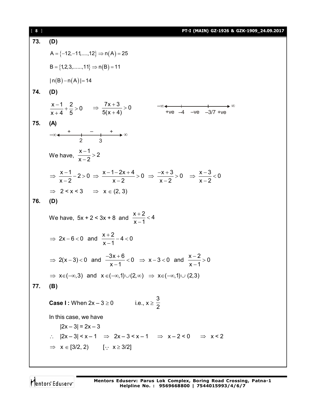| $[ 8 ]$ | PT-I (MAIN) GZ-1926 & GZK-1909_24.09.2017                                                                                                        |
|---------|--------------------------------------------------------------------------------------------------------------------------------------------------|
| 73.     | (D)                                                                                                                                              |
|         | $A = \{-12, -11, \ldots, 12\} \Rightarrow n(A) = 25$                                                                                             |
|         | $B = \{1, 2, 3, \ldots, 11\} \Rightarrow n(B) = 11$                                                                                              |
|         | $ n(B)-n(A) =14$                                                                                                                                 |
| 74.     | (D)                                                                                                                                              |
|         | $\frac{x-1}{x+4} + \frac{2}{5} > 0$ $\Rightarrow \frac{7x+3}{5(x+4)} > 0$<br>$-\infty$ + $+\vee$ + $-\vee$ - $\vee$ - $\infty$ - $\vee$ -3/7 +ve |
| 75.     | (A)                                                                                                                                              |
|         | $-\infty$                                                                                                                                        |
|         | We have, $\frac{x-1}{x-2} > 2$                                                                                                                   |
|         | $\Rightarrow \frac{x-1}{x-2}-2>0 \Rightarrow \frac{x-1-2x+4}{x-2}>0 \Rightarrow \frac{-x+3}{x-2}>0 \Rightarrow \frac{x-3}{x-2}<0$                |
|         | $\Rightarrow$ 2 < x < 3 $\Rightarrow$ x $\in$ (2, 3)                                                                                             |
| 76.     | (D)                                                                                                                                              |
|         | We have, $5x + 2 < 3x + 8$ and $\frac{x+2}{x-1} < 4$                                                                                             |
|         | $\Rightarrow$ 2x-6<0 and $\frac{x+2}{x-4}-4<0$                                                                                                   |
|         | ⇒ 2(x-3)<0 and $\frac{-3x+6}{x-1}$ <0 ⇒ x-3 <0 and $\frac{x-2}{x-1}$ > 0                                                                         |
|         | $\Rightarrow$ x $\in (-\infty, 3)$ and x $\in (-\infty, 1) \cup (2, \infty)$ $\Rightarrow$ x $\in (-\infty, 1) \cup (2, 3)$                      |
| 77.     | (B)                                                                                                                                              |
|         | <b>Case I</b> : When $2x - 3 \ge 0$ i.e., $x \ge \frac{3}{2}$                                                                                    |
|         | In this case, we have                                                                                                                            |
|         | $ 2x-3  = 2x-3$                                                                                                                                  |
|         | $\therefore$ $ 2x-3  < x-1$ $\Rightarrow$ $2x-3 < x-1$ $\Rightarrow$ $x-2 < 0$ $\Rightarrow$ $x < 2$                                             |
|         | $\Rightarrow$ $x \in [3/2, 2)$ [: $x \ge 3/2$ ]                                                                                                  |
|         |                                                                                                                                                  |

Mentors<sup>e</sup> Eduserv<sup>-</sup>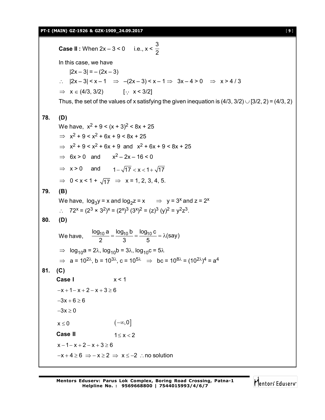**PT-I (MAIN) GZ-1926 & GZK-1909\_24.09.2017** [ **9** ]

**Case II** : When  $2x - 3 < 0$  i.e.,  $x <$ 3 2 In this case, we have  $|2x - 3| = -(2x - 3)$ :.  $|2x-3| < x-1 \Rightarrow -(2x-3) < x-1 \Rightarrow 3x-4 > 0 \Rightarrow x > 4/3$  $\Rightarrow$   $x \in (4/3, 3/2)$  [ $\therefore$   $x < 3/2$ ] Thus, the set of the values of x satisfying the given inequation is  $(4/3, 3/2) \cup [3/2, 2) = (4/3, 2)$ **78. (D)** We have,  $x^2 + 9 < (x + 3)^2 < 8x + 25$  $\Rightarrow$   $x^2 + 9 < x^2 + 6x + 9 < 8x + 25$  $\Rightarrow$   $x^2 + 9 < x^2 + 6x + 9$  and  $x^2 + 6x + 9 < 8x + 25$  $\Rightarrow$  6x > 0 and  $x^2 - 2x - 16 < 0$  $\Rightarrow$  x > 0 and  $1-\sqrt{17} < x < 1+\sqrt{17}$  $\Rightarrow$  0 < x < 1 +  $\sqrt{17}$   $\Rightarrow$  x = 1, 2, 3, 4, 5. **79. (B)** We have,  $log_3 y = x$  and  $log_2 z = x$   $\Rightarrow$  y = 3<sup>x</sup> and z = 2<sup>x</sup>  $\therefore$  72<sup>x</sup> = (2<sup>3</sup> × 3<sup>2</sup>)<sup>x</sup> = (2<sup>x</sup>)<sup>3</sup> (3<sup>x</sup>)<sup>2</sup> = (z)<sup>3</sup> (y)<sup>2</sup> = y<sup>2</sup>z<sup>3</sup>. **80. (D)** We have,  $\frac{\log_{10} a}{2} = \frac{\log_{10} b}{3} = \frac{\log_{10} c}{5} = \lambda$ (say)  $=\frac{10 \text{ g}}{2} = \frac{10 \text{ g}}{2} = \lambda$  $\Rightarrow$  log<sub>10</sub>a = 2 $\lambda$ , log<sub>10</sub>b = 3 $\lambda$ , log<sub>10</sub>c = 5 $\lambda$  $\Rightarrow$   $a = 10^{2\lambda}$ , b = 10<sup>3 $\lambda$ </sup>, c = 10<sup>5 $\lambda$ </sup>  $\Rightarrow$  bc = 10<sup>8 $\lambda$ </sup> = (10<sup>2 $\lambda$ </sup>)<sup>4</sup> = a<sup>4</sup> **81. (C) Case I** x < 1  $-x + 1 - x + 2 - x + 3 > 6$  $-3x + 6 \ge 6$  $-3x \ge 0$  $x \le 0$   $(-\infty,0]$ **Case II**  $1 \le x < 2$  $x - 1 - x + 2 - x + 3 \ge 6$  $-x+4 \ge 6 \Rightarrow -x \ge 2 \Rightarrow x \le -2$  : no solution

Mentors<sup>®</sup> Eduserv<sup>®</sup>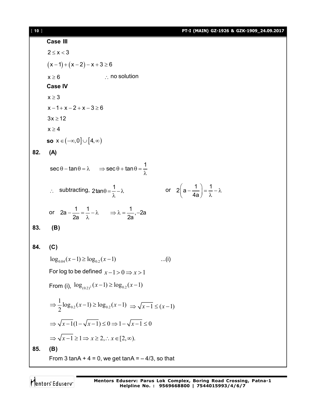# [ **10** ] **PT-I (MAIN) GZ-1926 & GZK-1909\_24.09.2017**

|     | Case III                                                                                                            |
|-----|---------------------------------------------------------------------------------------------------------------------|
|     | $2 \leq x < 3$                                                                                                      |
|     | $(x-1)+(x-2)-x+3 \ge 6$                                                                                             |
|     | $\therefore$ no solution<br>$x \geq 6$                                                                              |
|     | <b>Case IV</b>                                                                                                      |
|     | $x \geq 3$                                                                                                          |
|     | $x - 1 + x - 2 + x - 3 \ge 6$                                                                                       |
|     | $3x \geq 12$                                                                                                        |
|     | $x \ge 4$                                                                                                           |
|     | so $x \in (-\infty, 0] \cup [4, \infty)$                                                                            |
| 82. | (A)                                                                                                                 |
|     | $\sec \theta - \tan \theta = \lambda \implies \sec \theta + \tan \theta = \frac{1}{\lambda}$                        |
|     | or $2\left(a-\frac{1}{4a}\right)=\frac{1}{\lambda}-\lambda$<br>∴ subtracting, $2\tan\theta = \frac{1}{2} - \lambda$ |
|     | or $2a - \frac{1}{2a} = \frac{1}{\lambda} - \lambda$ $\Rightarrow \lambda = \frac{1}{2a}$ , -2a                     |
| 83. | (B)                                                                                                                 |
| 84. | (C)                                                                                                                 |
|     | $\log_{0.04}(x-1) \ge \log_{0.2}(x-1)$<br>(i)                                                                       |
|     | For log to be defined $x-1>0 \Rightarrow x>1$                                                                       |
|     | From (i), $\log_{(0.2)^2}(x-1) \ge \log_{0.2}(x-1)$                                                                 |
|     | $\Rightarrow \frac{1}{2} \log_{0.2} (x-1) \ge \log_{0.2} (x-1) \Rightarrow \sqrt{x-1} \le (x-1)$                    |
|     | $\Rightarrow \sqrt{x-1}(1-\sqrt{x-1}) \leq 0 \Rightarrow 1-\sqrt{x-1} \leq 0$                                       |
|     | $\Rightarrow \sqrt{x-1} \geq 1 \Rightarrow x \geq 2, \therefore x \in [2, \infty).$                                 |
| 85. | (B)                                                                                                                 |
|     | From 3 tanA + $4 = 0$ , we get tanA = $-4/3$ , so that                                                              |

Mentors<sup>e</sup> Eduserv<sup>-</sup>